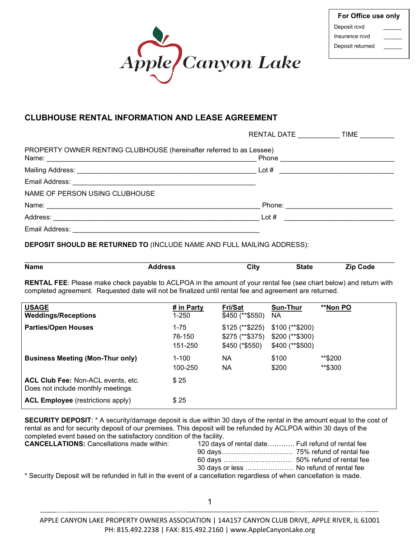

| For Office use only |  |  |  |
|---------------------|--|--|--|
| Deposit rcvd        |  |  |  |
| Insurance rcvd      |  |  |  |
| Deposit returned    |  |  |  |

## **CLUBHOUSE RENTAL INFORMATION AND LEASE AGREEMENT**

|                                                                      | RENTAL DATE | <b>TIME</b>            |
|----------------------------------------------------------------------|-------------|------------------------|
| PROPERTY OWNER RENTING CLUBHOUSE (hereinafter referred to as Lessee) |             | Phone <u>contracts</u> |
|                                                                      | Lot $\#$    |                        |
|                                                                      |             |                        |
| NAME OF PERSON USING CLUBHOUSE                                       |             |                        |
|                                                                      |             |                        |
|                                                                      | Lot $#$     |                        |
| Email Address: _____________________                                 |             |                        |

#### **DEPOSIT SHOULD BE RETURNED TO** (INCLUDE NAME AND FULL MAILING ADDRESS):

| <b>Name</b> | ldress<br>. | City | <b>State</b> | $7$ in<br>Code |
|-------------|-------------|------|--------------|----------------|

**RENTAL FEE**: Please make check payable to ACLPOA in the amount of your rental fee (see chart below) and return with completed agreement. Requested date will not be finalized until rental fee and agreement are returned.

| <b>USAGE</b><br><b>Weddings/Receptions</b>                              | # in Party<br>1-250           | <b>Fri/Sat</b><br>\$450 (**\$550)                      | Sun-Thur<br>NA.                                          | **Non PO           |
|-------------------------------------------------------------------------|-------------------------------|--------------------------------------------------------|----------------------------------------------------------|--------------------|
| <b>Parties/Open Houses</b>                                              | $1 - 75$<br>76-150<br>151-250 | $$125$ (**\$225)<br>$$275$ (**\$375)<br>\$450 (*\$550) | $$100$ (**\$200)<br>$$200$ (**\$300)<br>$$400$ (**\$500) |                    |
| <b>Business Meeting (Mon-Thur only)</b>                                 | $1 - 100$<br>100-250          | ΝA<br><b>NA</b>                                        | \$100<br>\$200                                           | **\$200<br>**\$300 |
| ACL Club Fee: Non-ACL events, etc.<br>Does not include monthly meetings | \$25                          |                                                        |                                                          |                    |
| <b>ACL Employee</b> (restrictions apply)                                | \$25                          |                                                        |                                                          |                    |

**SECURITY DEPOSIT**: \* A security/damage deposit is due within 30 days of the rental in the amount equal to the cost of rental as and for security deposit of our premises. This deposit will be refunded by ACLPOA within 30 days of the completed event based on the satisfactory condition of the facility.

| <b>CANCELLATIONS:</b> Cancellations made within:                                                                   | 120 days of rental date Full refund of rental fee |  |
|--------------------------------------------------------------------------------------------------------------------|---------------------------------------------------|--|
|                                                                                                                    |                                                   |  |
|                                                                                                                    |                                                   |  |
|                                                                                                                    | 30 days or less  No refund of rental fee          |  |
| * Coourity Deposit will be refunded in full in the overt of a consollation regardless of when consollation is mode |                                                   |  |

Security Deposit will be refunded in full in the event of a cancellation regardless of when cancellation is made.

APPLE CANYON LAKE PROPERTY OWNERS ASSOCIATION | 14A157 CANYON CLUB DRIVE, APPLE RIVER, IL 61001 PH: 815.492.2238 | FAX: 815.492.2160 | www.AppleCanyonLake.org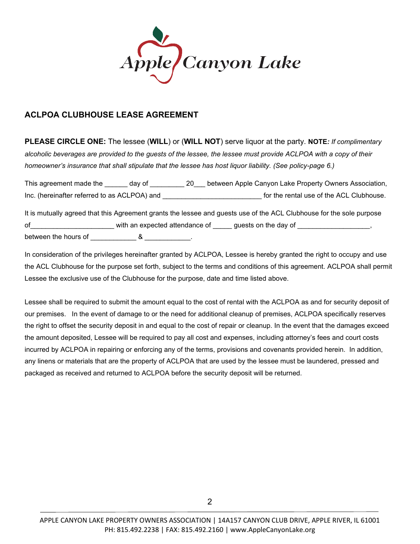

## **ACLPOA CLUBHOUSE LEASE AGREEMENT**

**PLEASE CIRCLE ONE:** The lessee (**WILL**) or (**WILL NOT**) serve liquor at the party. **NOTE***: If complimentary alcoholic beverages are provided to the guests of the lessee, the lessee must provide ACLPOA with a copy of their homeowner's insurance that shall stipulate that the lessee has host liquor liability. (See policy-page 6.)*

This agreement made the \_\_\_\_\_\_ day of \_\_\_\_\_\_\_\_\_ 20\_\_\_ between Apple Canyon Lake Property Owners Association, Inc. (hereinafter referred to as ACLPOA) and **EXEC 10** for the rental use of the ACL Clubhouse. It is mutually agreed that this Agreement grants the lessee and guests use of the ACL Clubhouse for the sole purpose

of \_\_\_\_\_\_\_\_\_\_\_\_\_\_\_\_\_\_\_\_\_\_\_\_\_\_ with an expected attendance of \_\_\_\_\_\_ guests on the day of \_\_\_\_\_\_\_\_\_\_ between the hours of  $\sim$  8

In consideration of the privileges hereinafter granted by ACLPOA, Lessee is hereby granted the right to occupy and use the ACL Clubhouse for the purpose set forth, subject to the terms and conditions of this agreement. ACLPOA shall permit Lessee the exclusive use of the Clubhouse for the purpose, date and time listed above.

Lessee shall be required to submit the amount equal to the cost of rental with the ACLPOA as and for security deposit of our premises. In the event of damage to or the need for additional cleanup of premises, ACLPOA specifically reserves the right to offset the security deposit in and equal to the cost of repair or cleanup. In the event that the damages exceed the amount deposited, Lessee will be required to pay all cost and expenses, including attorney's fees and court costs incurred by ACLPOA in repairing or enforcing any of the terms, provisions and covenants provided herein. In addition, any linens or materials that are the property of ACLPOA that are used by the lessee must be laundered, pressed and packaged as received and returned to ACLPOA before the security deposit will be returned.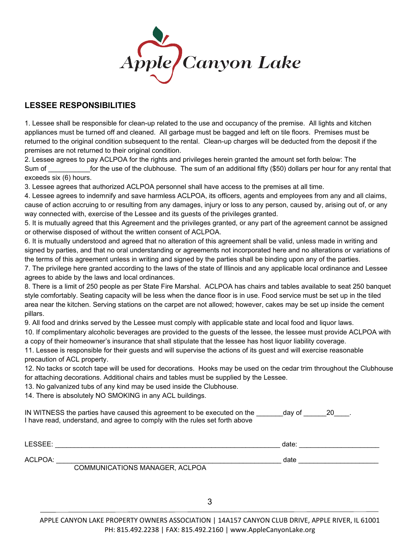

### **LESSEE RESPONSIBILITIES**

1. Lessee shall be responsible for clean-up related to the use and occupancy of the premise. All lights and kitchen appliances must be turned off and cleaned. All garbage must be bagged and left on tile floors. Premises must be returned to the original condition subsequent to the rental. Clean-up charges will be deducted from the deposit if the premises are not returned to their original condition.

2. Lessee agrees to pay ACLPOA for the rights and privileges herein granted the amount set forth below: The Sum of the use of the clubhouse. The sum of an additional fifty (\$50) dollars per hour for any rental that exceeds six (6) hours.

3. Lessee agrees that authorized ACLPOA personnel shall have access to the premises at all time.

4. Lessee agrees to indemnify and save harmless ACLPOA, its officers, agents and employees from any and all claims, cause of action accruing to or resulting from any damages, injury or loss to any person, caused by, arising out of, or any way connected with, exercise of the Lessee and its guests of the privileges granted.

5. It is mutually agreed that this Agreement and the privileges granted, or any part of the agreement cannot be assigned or otherwise disposed of without the written consent of ACLPOA.

6. It is mutually understood and agreed that no alteration of this agreement shall be valid, unless made in writing and signed by parties, and that no oral understanding or agreements not incorporated here and no alterations or variations of the terms of this agreement unless in writing and signed by the parties shall be binding upon any of the parties.

7. The privilege here granted according to the laws of the state of Illinois and any applicable local ordinance and Lessee agrees to abide by the laws and local ordinances.

8. There is a limit of 250 people as per State Fire Marshal. ACLPOA has chairs and tables available to seat 250 banquet style comfortably. Seating capacity will be less when the dance floor is in use. Food service must be set up in the tiled area near the kitchen. Serving stations on the carpet are not allowed; however, cakes may be set up inside the cement pillars.

9. All food and drinks served by the Lessee must comply with applicable state and local food and liquor laws.

10. If complimentary alcoholic beverages are provided to the guests of the lessee, the lessee must provide ACLPOA with a copy of their homeowner's insurance that shall stipulate that the lessee has host liquor liability coverage.

11. Lessee is responsible for their guests and will supervise the actions of its guest and will exercise reasonable precaution of ACL property.

12. No tacks or scotch tape will be used for decorations. Hooks may be used on the cedar trim throughout the Clubhouse for attaching decorations. Additional chairs and tables must be supplied by the Lessee.

13. No galvanized tubs of any kind may be used inside the Clubhouse.

14. There is absolutely NO SMOKING in any ACL buildings.

IN WITNESS the parties have caused this agreement to be executed on the day of  $\qquad 20 \qquad$ . I have read, understand, and agree to comply with the rules set forth above

| LESSEE: |                                | date. |  |
|---------|--------------------------------|-------|--|
| ACLPOA: |                                | date  |  |
|         | COMMUNICATIONS MANAGER, ACLPOA |       |  |

3

APPLE CANYON LAKE PROPERTY OWNERS ASSOCIATION | 14A157 CANYON CLUB DRIVE, APPLE RIVER, IL 61001 PH: 815.492.2238 | FAX: 815.492.2160 | www.AppleCanyonLake.org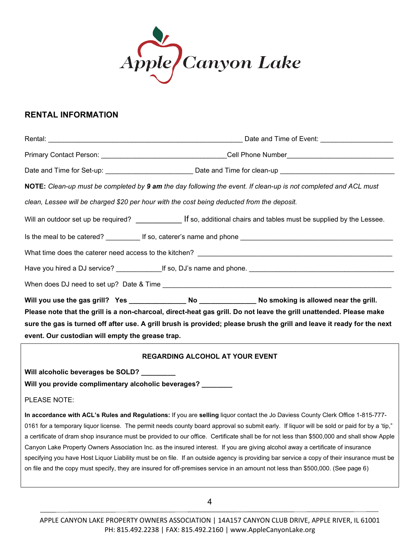

#### **RENTAL INFORMATION**

|                                                                                                                         | Primary Contact Person: ___________________________________Cell Phone Number____________________________                   |  |  |  |
|-------------------------------------------------------------------------------------------------------------------------|----------------------------------------------------------------------------------------------------------------------------|--|--|--|
|                                                                                                                         | Date and Time for Set-up: _______________________________Date and Time for clean-up ___________________________            |  |  |  |
|                                                                                                                         | NOTE: Clean-up must be completed by 9 am the day following the event. If clean-up is not completed and ACL must            |  |  |  |
|                                                                                                                         | clean, Lessee will be charged \$20 per hour with the cost being deducted from the deposit.                                 |  |  |  |
|                                                                                                                         | Will an outdoor set up be required? __________________ If so, additional chairs and tables must be supplied by the Lessee. |  |  |  |
|                                                                                                                         |                                                                                                                            |  |  |  |
|                                                                                                                         |                                                                                                                            |  |  |  |
|                                                                                                                         |                                                                                                                            |  |  |  |
|                                                                                                                         |                                                                                                                            |  |  |  |
|                                                                                                                         | Will you use the gas grill? Yes ________________ No ______________ No smoking is allowed near the grill.                   |  |  |  |
|                                                                                                                         | Please note that the grill is a non-charcoal, direct-heat gas grill. Do not leave the grill unattended. Please make        |  |  |  |
| sure the gas is turned off after use. A grill brush is provided; please brush the grill and leave it ready for the next |                                                                                                                            |  |  |  |
| event. Our custodian will empty the grease trap.                                                                        |                                                                                                                            |  |  |  |
| <b>REGARDING ALCOHOL AT YOUR EVENT</b>                                                                                  |                                                                                                                            |  |  |  |
| Will alcoholic beverages be SOLD? ________                                                                              |                                                                                                                            |  |  |  |
| Will you provide complimentary alcoholic beverages? _______                                                             |                                                                                                                            |  |  |  |

PLEASE NOTE:

**In accordance with ACL's Rules and Regulations:** If you are **selling** liquor contact the Jo Daviess County Clerk Office 1-815-777- 0161 for a temporary liquor license. The permit needs county board approval so submit early. If liquor will be sold or paid for by a 'tip," a certificate of dram shop insurance must be provided to our office. Certificate shall be for not less than \$500,000 and shall show Apple Canyon Lake Property Owners Association Inc. as the insured interest. If you are giving alcohol away a certificate of insurance specifying you have Host Liquor Liability must be on file. If an outside agency is providing bar service a copy of their insurance must be on file and the copy must specify, they are insured for off-premises service in an amount not less than \$500,000. (See page 6)

4

APPLE CANYON LAKE PROPERTY OWNERS ASSOCIATION | 14A157 CANYON CLUB DRIVE, APPLE RIVER, IL 61001 PH: 815.492.2238 | FAX: 815.492.2160 | www.AppleCanyonLake.org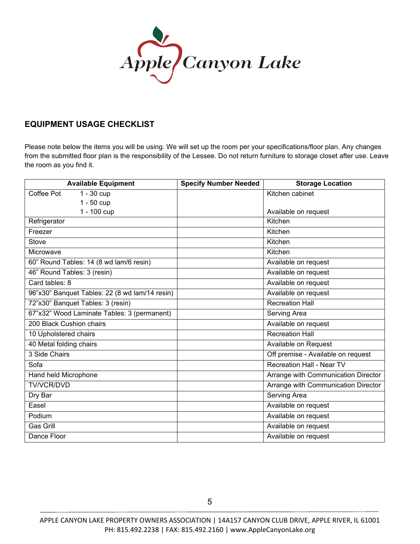

### **EQUIPMENT USAGE CHECKLIST**

Please note below the items you will be using. We will set up the room per your specifications/floor plan. Any changes from the submitted floor plan is the responsibility of the Lessee. Do not return furniture to storage closet after use. Leave the room as you find it.

| <b>Available Equipment</b>                     | <b>Specify Number Needed</b> | <b>Storage Location</b>             |
|------------------------------------------------|------------------------------|-------------------------------------|
| Coffee Pot<br>$1 - 30$ cup                     |                              | Kitchen cabinet                     |
| $1 - 50$ cup                                   |                              |                                     |
| 1 - 100 cup                                    |                              | Available on request                |
| Refrigerator                                   |                              | Kitchen                             |
| Freezer                                        |                              | Kitchen                             |
| Stove                                          |                              | Kitchen                             |
| Microwave                                      |                              | Kitchen                             |
| 60" Round Tables: 14 (8 wd lam/6 resin)        |                              | Available on request                |
| 46" Round Tables: 3 (resin)                    |                              | Available on request                |
| Card tables: 8                                 |                              | Available on request                |
| 96"x30" Banquet Tables: 22 (8 wd lam/14 resin) |                              | Available on request                |
| 72"x30" Banquet Tables: 3 (resin)              |                              | <b>Recreation Hall</b>              |
| 67"x32" Wood Laminate Tables: 3 (permanent)    |                              | Serving Area                        |
| 200 Black Cushion chairs                       |                              | Available on request                |
| 10 Upholstered chairs                          |                              | <b>Recreation Hall</b>              |
| 40 Metal folding chairs                        |                              | Available on Request                |
| 3 Side Chairs                                  |                              | Off premise - Available on request  |
| Sofa                                           |                              | Recreation Hall - Near TV           |
| Hand held Microphone                           |                              | Arrange with Communication Director |
| <b>TV/VCR/DVD</b>                              |                              | Arrange with Communication Director |
| Dry Bar                                        |                              | Serving Area                        |
| Easel                                          |                              | Available on request                |
| Podium                                         |                              | Available on request                |
| Gas Grill                                      |                              | Available on request                |
| Dance Floor                                    |                              | Available on request                |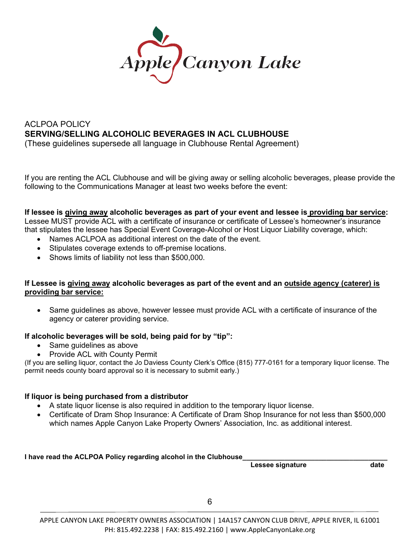

### ACLPOA POLICY **SERVING/SELLING ALCOHOLIC BEVERAGES IN ACL CLUBHOUSE** (These guidelines supersede all language in Clubhouse Rental Agreement)

If you are renting the ACL Clubhouse and will be giving away or selling alcoholic beverages, please provide the following to the Communications Manager at least two weeks before the event:

#### **If lessee is giving away alcoholic beverages as part of your event and lessee is providing bar service:**

Lessee MUST provide ACL with a certificate of insurance or certificate of Lessee's homeowner's insurance that stipulates the lessee has Special Event Coverage-Alcohol or Host Liquor Liability coverage, which:

- Names ACLPOA as additional interest on the date of the event.
- Stipulates coverage extends to off-premise locations.
- Shows limits of liability not less than \$500,000.

#### **If Lessee is giving away alcoholic beverages as part of the event and an outside agency (caterer) is providing bar service:**

• Same guidelines as above, however lessee must provide ACL with a certificate of insurance of the agency or caterer providing service.

#### **If alcoholic beverages will be sold, being paid for by "tip":**

- Same guidelines as above
- Provide ACL with County Permit

(If you are selling liquor, contact the Jo Daviess County Clerk's Office (815) 777-0161 for a temporary liquor license. The permit needs county board approval so it is necessary to submit early.)

#### **If liquor is being purchased from a distributor**

- A state liquor license is also required in addition to the temporary liquor license.
- Certificate of Dram Shop Insurance: A Certificate of Dram Shop Insurance for not less than \$500,000 which names Apple Canyon Lake Property Owners' Association, Inc. as additional interest.

**I have read the ACLPOA Policy regarding alcohol in the Clubhouse\_\_\_\_\_\_\_\_\_\_\_\_\_\_\_\_\_\_\_\_\_\_\_\_\_\_\_\_\_\_\_\_\_\_\_\_\_\_**

**Lessee signature**